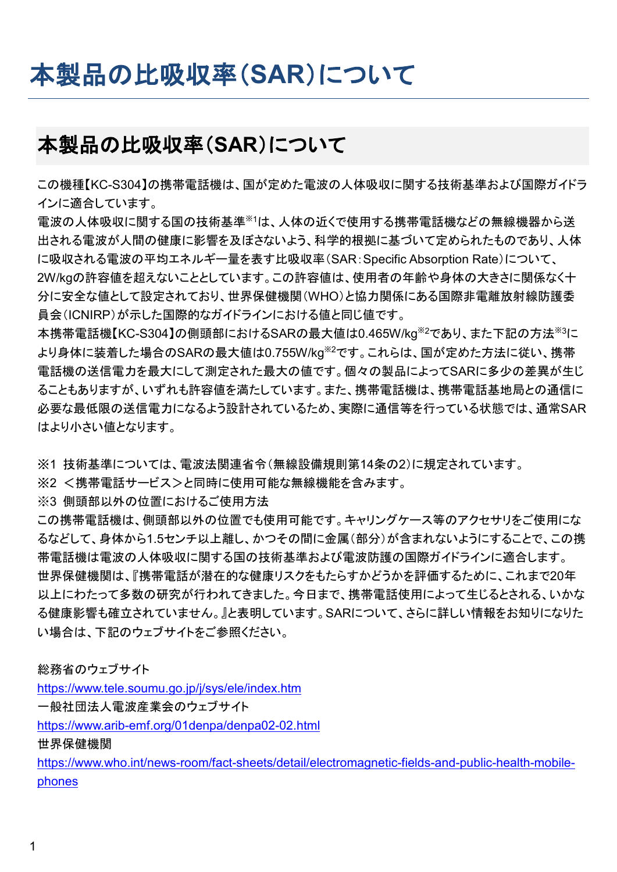### 本製品の比吸収率(**SAR**)について

#### 本製品の比吸収率(**SAR**)について

この機種【KC-S304】の携帯電話機は、国が定めた電波の人体吸収に関する技術基準および国際ガイドラ インに適合しています。

電波の人体吸収に関する国の技術基準※1は、人体の近くで使用する携帯電話機などの無線機器から送 出される電波が人間の健康に影響を及ぼさないよう、科学的根拠に基づいて定められたものであり、人体 に吸収される電波の平均エネルギー量を表す比吸収率(SAR:Specific Absorption Rate)について、 2W/kgの許容値を超えないこととしています。この許容値は、使用者の年齢や身体の大きさに関係なく十 分に安全な値として設定されており、世界保健機関(WHO)と協力関係にある国際非電離放射線防護委 員会(ICNIRP)が示した国際的なガイドラインにおける値と同じ値です。

本携帯電話機【KC-S304】の側頭部におけるSARの最大値は0.465W/kg※2であり、また下記の方法※3に より身体に装着した場合のSARの最大値は0.755W/kg※2です。これらは、国が定めた方法に従い、携帯 電話機の送信電力を最大にして測定された最大の値です。個々の製品によってSARに多少の差異が生じ ることもありますが、いずれも許容値を満たしています。また、携帯電話機は、携帯電話基地局との通信に 必要な最低限の送信電力になるよう設計されているため、実際に通信等を行っている状態では、通常SAR はより小さい値となります。

※1 技術基準については、電波法関連省令(無線設備規則第14条の2)に規定されています。

※2 <携帯電話サービス>と同時に使用可能な無線機能を含みます。

※3 側頭部以外の位置におけるご使用方法

この携帯電話機は、側頭部以外の位置でも使用可能です。キャリングケース等のアクセサリをご使用にな るなどして、身体から1.5センチ以上離し、かつその間に金属(部分)が含まれないようにすることで、この携 帯電話機は電波の人体吸収に関する国の技術基準および電波防護の国際ガイドラインに適合します。 世界保健機関は、『携帯電話が潜在的な健康リスクをもたらすかどうかを評価するために、これまで20年 以上にわたって多数の研究が行われてきました。今日まで、携帯電話使用によって生じるとされる、いかな る健康影響も確立されていません。』と表明しています。SARについて、さらに詳しい情報をお知りになりた い場合は、下記のウェブサイトをご参照ください。

総務省のウェブサイト

https://www.tele.soumu.go.jp/j/sys/ele/index.htm 一般社団法人電波産業会のウェブサイト https://www.arib-emf.org/01denpa/denpa02-02.html 世界保健機関 https://www.who.int/news-room/fact-sheets/detail/electromagnetic-fields-and-public-health-mobilephones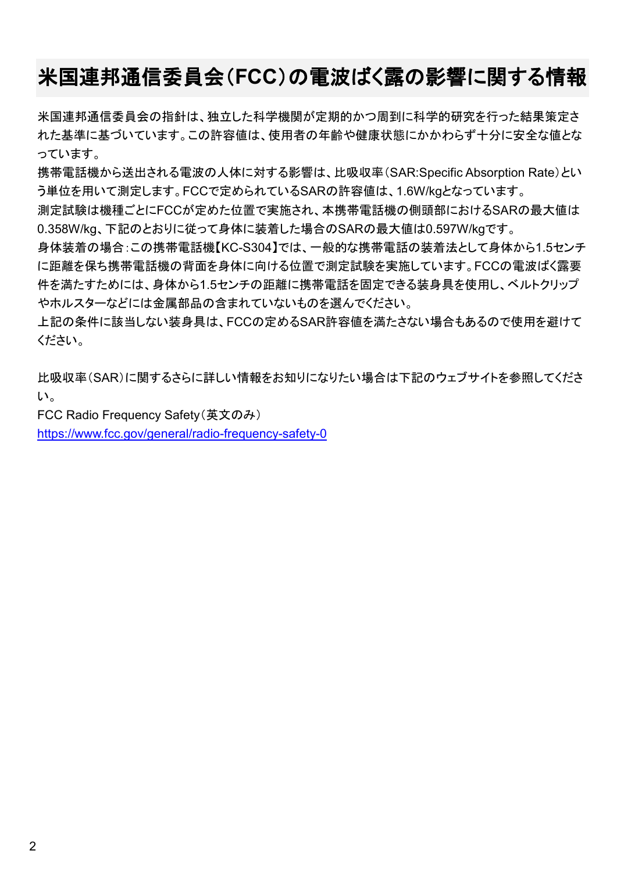#### 米国連邦通信委員会(**FCC**)の電波ばく露の影響に関する情報

米国連邦通信委員会の指針は、独立した科学機関が定期的かつ周到に科学的研究を行った結果策定さ れた基準に基づいています。この許容値は、使用者の年齢や健康状態にかかわらず十分に安全な値とな っています。

携帯電話機から送出される電波の人体に対する影響は、比吸収率(SAR:Specific Absorption Rate)とい う単位を用いて測定します。FCCで定められているSARの許容値は、1.6W/kgとなっています。

測定試験は機種ごとにFCCが定めた位置で実施され、本携帯電話機の側頭部におけるSARの最大値は 0.358W/kg、下記のとおりに従って身体に装着した場合のSARの最大値は0.597W/kgです。

身体装着の場合:この携帯電話機【KC-S304】では、一般的な携帯電話の装着法として身体から1.5センチ に距離を保ち携帯電話機の背面を身体に向ける位置で測定試験を実施しています。FCCの電波ばく露要 件を満たすためには、身体から1.5センチの距離に携帯電話を固定できる装身具を使用し、ベルトクリップ やホルスターなどには金属部品の含まれていないものを選んでください。

上記の条件に該当しない装身具は、FCCの定めるSAR許容値を満たさない場合もあるので使用を避けて ください。

比吸収率(SAR)に関するさらに詳しい情報をお知りになりたい場合は下記のウェブサイトを参照してくださ い。

FCC Radio Frequency Safety(英文のみ)

https://www.fcc.gov/general/radio-frequency-safety-0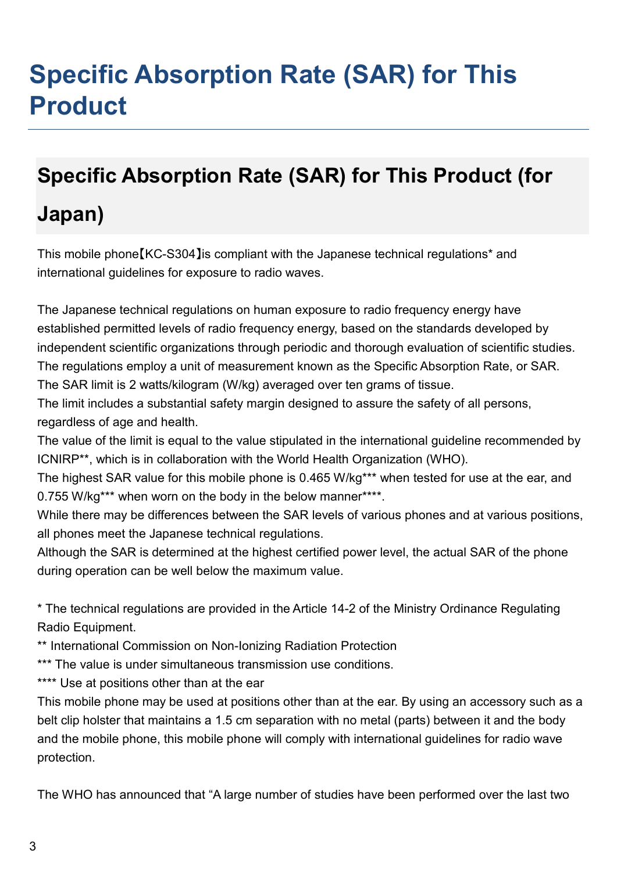## **Specific Absorption Rate (SAR) for This Product**

# **Specific Absorption Rate (SAR) for This Product (for Japan)**

This mobile phone【KC-S304】is compliant with the Japanese technical regulations\* and international guidelines for exposure to radio waves.

The Japanese technical regulations on human exposure to radio frequency energy have established permitted levels of radio frequency energy, based on the standards developed by independent scientific organizations through periodic and thorough evaluation of scientific studies. The regulations employ a unit of measurement known as the Specific Absorption Rate, or SAR. The SAR limit is 2 watts/kilogram (W/kg) averaged over ten grams of tissue.

The limit includes a substantial safety margin designed to assure the safety of all persons, regardless of age and health.

The value of the limit is equal to the value stipulated in the international guideline recommended by ICNIRP\*\*, which is in collaboration with the World Health Organization (WHO).

The highest SAR value for this mobile phone is 0.465 W/kg\*\*\* when tested for use at the ear, and 0.755 W/kg\*\*\* when worn on the body in the below manner\*\*\*\*.

While there may be differences between the SAR levels of various phones and at various positions, all phones meet the Japanese technical regulations.

Although the SAR is determined at the highest certified power level, the actual SAR of the phone during operation can be well below the maximum value.

\* The technical regulations are provided in the Article 14-2 of the Ministry Ordinance Regulating Radio Equipment.

\*\* International Commission on Non-Ionizing Radiation Protection

\*\*\* The value is under simultaneous transmission use conditions.

\*\*\*\* Use at positions other than at the ear

This mobile phone may be used at positions other than at the ear. By using an accessory such as a belt clip holster that maintains a 1.5 cm separation with no metal (parts) between it and the body and the mobile phone, this mobile phone will comply with international guidelines for radio wave protection.

The WHO has announced that "A large number of studies have been performed over the last two